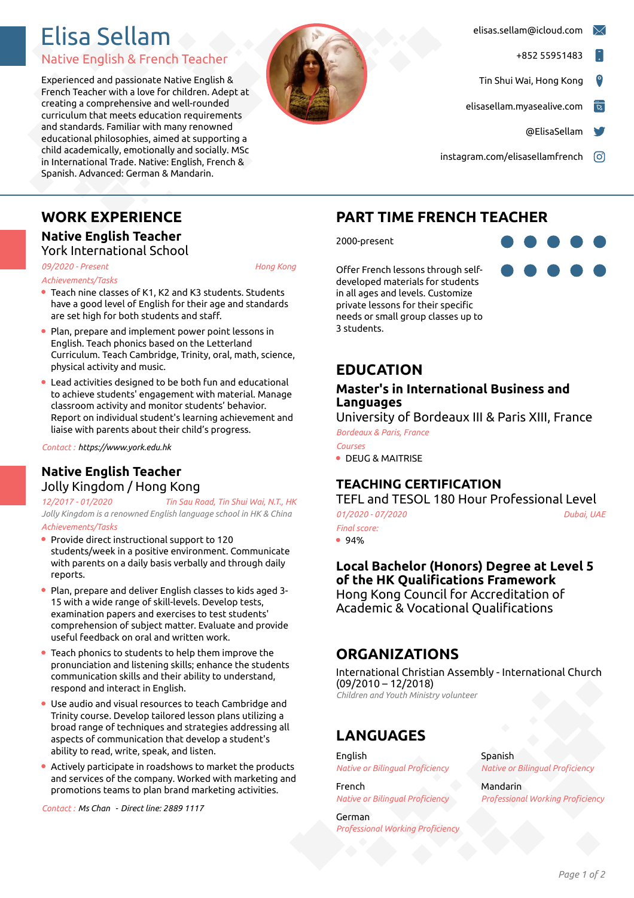# Elisa Sellam

### Native English & French Teacher

Experienced and passionate Native English & French Teacher with a love for children. Adept at creating a comprehensive and well-rounded curriculum that meets education requirements and standards. Familiar with many renowned educational philosophies, aimed at supporting a child academically, emotionally and socially. MSc in International Trade. Native: English, French & Spanish. Advanced: German & Mandarin.



- [elisas.sellam@icloud.com](mailto:elisas.sellam@icloud.com)
	- +852 55951483
- Tin Shui Wai, Hong Kong
- [elisasellam.myasealive.com](http://elisasellam.myasealive.com)
	- [@ElisaSellam](https://twitter.com/ElisaSellam)
- [instagram.com/elisasellamfrench](https://instagram.com/elisasellamfrench) <sup>co</sup>

# **WORK EXPERIENCE**

#### **Native English Teacher** York International School

*09/2020 - Present*, *Hong Kong Achievements/Tasks*

- Teach nine classes of K1, K2 and K3 students. Students have a good level of English for their age and standards are set high for both students and staff.
- Plan, prepare and implement power point lessons in English. Teach phonics based on the Letterland Curriculum. Teach Cambridge, Trinity, oral, math, science, physical activity and music.
- Lead activities designed to be both fun and educational to achieve students' engagement with material. Manage classroom activity and monitor students' behavior. Report on individual student's learning achievement and liaise with parents about their child's progress.

*Contact :https://www.york.edu.hk*

### **Native English Teacher** Jolly Kingdom / Hong Kong

*12/2017 - 01/2020*, *Tin Sau Road, Tin Shui Wai, N.T., HK Jolly Kingdom is a renowned English language school in HK & China Achievements/Tasks*

- Provide direct instructional support to 120 students/week in a positive environment. Communicate with parents on a daily basis verbally and through daily reports.
- Plan, prepare and deliver English classes to kids aged 3- 15 with a wide range of skill-levels. Develop tests, examination papers and exercises to test students' comprehension of subject matter. Evaluate and provide useful feedback on oral and written work.
- Teach phonics to students to help them improve the pronunciation and listening skills; enhance the students communication skills and their ability to understand, respond and interact in English.
- Use audio and visual resources to teach Cambridge and Trinity course. Develop tailored lesson plans utilizing a broad range of techniques and strategies addressing all aspects of communication that develop a student's ability to read, write, speak, and listen.
- Actively participate in roadshows to market the products and services of the company. Worked with marketing and promotions teams to plan brand marketing activities.

*Contact :Ms Chan -Direct line: 2889 1117*

# **PART TIME FRENCH TEACHER**

2000-present

Offer French lessons through self developed materials for students in all ages and levels. Customize private lessons for their specific needs or small group classes up to 3 students.



#### **Master's in International Business and Languages**

University of Bordeaux III & Paris XIII, France

*Bordeaux & Paris, France Courses*

DEUG & MAITRISE

## **TEACHING CERTIFICATION**

TEFL and TESOL 180 Hour Professional Level *01/2020 - 07/2020*, *Dubai, UAE*

*Final score:*

 $94%$ 

**Local Bachelor (Honors) Degree at Level 5 of the HK Qualifications Framework** Hong Kong Council for Accreditation of Academic & Vocational Qualifications

# **ORGANIZATIONS**

International Christian Assembly - International Church (09/2010 – 12/2018) *Children and Youth Ministry volunteer*

# **LANGUAGES**

**English** *Native or Bilingual Proficiency*

French *Native or Bilingual Proficiency*

German *Professional Working Proficiency* Spanish *Native or Bilingual Proficiency*

Mandarin *Professional Working Proficiency*